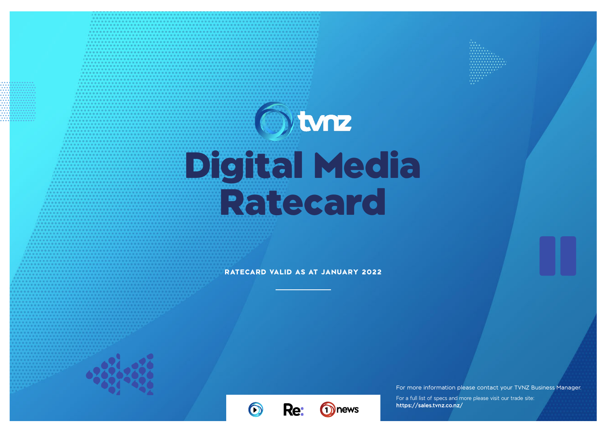# $\odot$ tmz Digital Media Ratecard

**RATECARD VALID AS AT JANUARY 2022**

Re:

1<sup>1</sup>news

For more information please contact your TVNZ Business Manager.

For a full list of specs and more please visit our trade site: **https://sales.tvnz.co.nz/**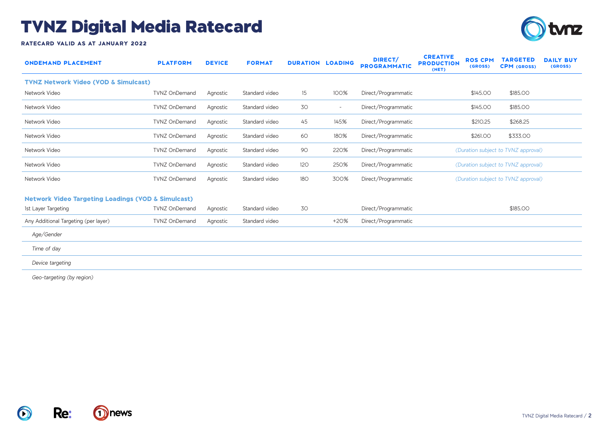

**RATECARD VALID AS AT JANUARY 2022**

| <b>ONDEMAND PLACEMENT</b>                                     | <b>PLATFORM</b>      | <b>DEVICE</b> | <b>FORMAT</b>  | <b>DURATION LOADING</b> |        | DIRECT/<br><b>PROGRAMMATIC</b> | <b>CREATIVE</b><br><b>PRODUCTION</b><br>(NET) | <b>ROS CPM</b><br>(GROSS) | <b>TARGETED</b><br><b>CPM</b> (GROSS) | <b>DAILY BUY</b><br>(GROSS) |
|---------------------------------------------------------------|----------------------|---------------|----------------|-------------------------|--------|--------------------------------|-----------------------------------------------|---------------------------|---------------------------------------|-----------------------------|
| <b>TVNZ Network Video (VOD &amp; Simulcast)</b>               |                      |               |                |                         |        |                                |                                               |                           |                                       |                             |
| Network Video                                                 | <b>TVNZ OnDemand</b> | Agnostic      | Standard video | 15                      | 100%   | Direct/Programmatic            |                                               | \$145.00                  | \$185.00                              |                             |
| Network Video                                                 | <b>TVNZ OnDemand</b> | Agnostic      | Standard video | 30                      | $\sim$ | Direct/Programmatic            |                                               | \$145.00                  | \$185.00                              |                             |
| Network Video                                                 | <b>TVNZ OnDemand</b> | Agnostic      | Standard video | 45                      | 145%   | Direct/Programmatic            |                                               | \$210.25                  | \$268.25                              |                             |
| Network Video                                                 | <b>TVNZ OnDemand</b> | Agnostic      | Standard video | 60                      | 180%   | Direct/Programmatic            |                                               | \$261.00                  | \$333.00                              |                             |
| Network Video                                                 | <b>TVNZ OnDemand</b> | Agnostic      | Standard video | 90                      | 220%   | Direct/Programmatic            |                                               |                           | (Duration subject to TVNZ approval)   |                             |
| Network Video                                                 | <b>TVNZ OnDemand</b> | Agnostic      | Standard video | 120                     | 250%   | Direct/Programmatic            |                                               |                           | (Duration subject to TVNZ approval)   |                             |
| Network Video                                                 | <b>TVNZ OnDemand</b> | Agnostic      | Standard video | <b>180</b>              | 300%   | Direct/Programmatic            |                                               |                           | (Duration subject to TVNZ approval)   |                             |
| <b>Network Video Targeting Loadings (VOD &amp; Simulcast)</b> |                      |               |                |                         |        |                                |                                               |                           |                                       |                             |
| 1st Layer Targeting                                           | <b>TVNZ OnDemand</b> | Agnostic      | Standard video | 30                      |        | Direct/Programmatic            |                                               |                           | \$185.00                              |                             |
| Any Additional Targeting (per layer)                          | <b>TVNZ OnDemand</b> | Agnostic      | Standard video |                         | $+20%$ | Direct/Programmatic            |                                               |                           |                                       |                             |
| Age/Gender                                                    |                      |               |                |                         |        |                                |                                               |                           |                                       |                             |
| Time of day                                                   |                      |               |                |                         |        |                                |                                               |                           |                                       |                             |
| Device targeting                                              |                      |               |                |                         |        |                                |                                               |                           |                                       |                             |
|                                                               |                      |               |                |                         |        |                                |                                               |                           |                                       |                             |

*Geo-targeting (by region)*



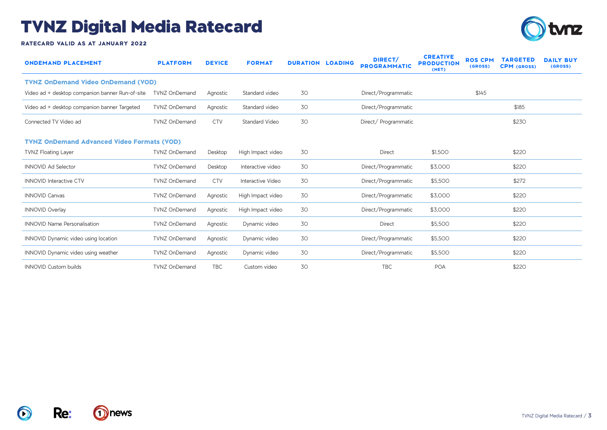

**RATECARD VALID AS AT JANUARY 2022**

| <b>ONDEMAND PLACEMENT</b>                         | <b>PLATFORM</b>      | <b>DEVICE</b> | <b>FORMAT</b>         | <b>DURATION LOADING</b> | DIRECT/<br><b>PROGRAMMATIC</b> | <b>CREATIVE</b><br><b>PRODUCTION</b><br>(NET) | <b>ROS CPM</b><br>(GROSS) | <b>TARGETED</b><br><b>CPM</b> (GROSS) | <b>DAILY BUY</b><br>(GROSS) |
|---------------------------------------------------|----------------------|---------------|-----------------------|-------------------------|--------------------------------|-----------------------------------------------|---------------------------|---------------------------------------|-----------------------------|
| <b>TVNZ OnDemand Video OnDemand (VOD)</b>         |                      |               |                       |                         |                                |                                               |                           |                                       |                             |
| Video ad + desktop companion banner Run-of-site   | <b>TVNZ OnDemand</b> | Agnostic      | Standard video        | 30                      | Direct/Programmatic            |                                               | \$145                     |                                       |                             |
| Video ad + desktop companion banner Targeted      | <b>TVNZ OnDemand</b> | Agnostic      | Standard video        | 30                      | Direct/Programmatic            |                                               |                           | \$185                                 |                             |
| Connected TV Video ad                             | <b>TVNZ OnDemand</b> | <b>CTV</b>    | <b>Standard Video</b> | 30                      | Direct/Programmatic            |                                               |                           | \$230                                 |                             |
| <b>TVNZ OnDemand Advanced Video Formats (VOD)</b> |                      |               |                       |                         |                                |                                               |                           |                                       |                             |
| <b>TVNZ Floating Layer</b>                        | <b>TVNZ OnDemand</b> | Desktop       | High Impact video     | 30                      | Direct                         | \$1,500                                       |                           | \$220                                 |                             |
| <b>INNOVID Ad Selector</b>                        | <b>TVNZ OnDemand</b> | Desktop       | Interactive video     | 30                      | Direct/Programmatic            | \$3,000                                       |                           | \$220                                 |                             |
| <b>INNOVID Interactive CTV</b>                    | <b>TVNZ OnDemand</b> | <b>CTV</b>    | Interactive Video     | 30                      | Direct/Programmatic            | \$5,500                                       |                           | \$272                                 |                             |
| <b>INNOVID Canvas</b>                             | <b>TVNZ OnDemand</b> | Agnostic      | High Impact video     | 30                      | Direct/Programmatic            | \$3,000                                       |                           | \$220                                 |                             |
| <b>INNOVID Overlay</b>                            | <b>TVNZ OnDemand</b> | Agnostic      | High Impact video     | 30                      | Direct/Programmatic            | \$3,000                                       |                           | \$220                                 |                             |
| <b>INNOVID Name Personalisation</b>               | <b>TVNZ OnDemand</b> | Agnostic      | Dynamic video         | 30                      | Direct                         | \$5,500                                       |                           | \$220                                 |                             |
| INNOVID Dynamic video using location              | <b>TVNZ OnDemand</b> | Agnostic      | Dynamic video         | 30                      | Direct/Programmatic            | \$5,500                                       |                           | \$220                                 |                             |
| <b>INNOVID Dynamic video using weather</b>        | <b>TVNZ OnDemand</b> | Agnostic      | Dynamic video         | 30                      | Direct/Programmatic            | \$5,500                                       |                           | \$220                                 |                             |
| <b>INNOVID Custom builds</b>                      | <b>TVNZ OnDemand</b> | <b>TBC</b>    | Custom video          | 30                      | <b>TBC</b>                     | <b>POA</b>                                    |                           | \$220                                 |                             |

 $\bigcirc$ 

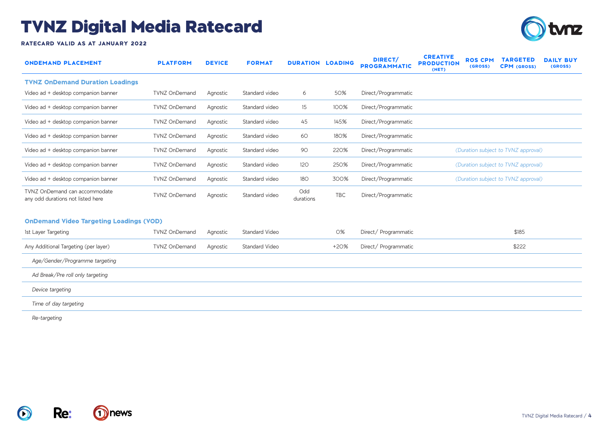

**RATECARD VALID AS AT JANUARY 2022**

| <b>ONDEMAND PLACEMENT</b>                                          | <b>PLATFORM</b>      | <b>DEVICE</b> | <b>FORMAT</b>         | <b>DURATION LOADING</b> |            | <b>DIRECT/</b><br><b>PROGRAMMATIC</b> | <b>CREATIVE</b><br><b>PRODUCTION</b><br>(NET) | <b>ROS CPM</b><br>(GROSS) | <b>TARGETED</b><br><b>CPM</b> (GROSS) | <b>DAILY BUY</b><br>(GROSS) |
|--------------------------------------------------------------------|----------------------|---------------|-----------------------|-------------------------|------------|---------------------------------------|-----------------------------------------------|---------------------------|---------------------------------------|-----------------------------|
| <b>TVNZ OnDemand Duration Loadings</b>                             |                      |               |                       |                         |            |                                       |                                               |                           |                                       |                             |
| Video ad + desktop companion banner                                | <b>TVNZ OnDemand</b> | Agnostic      | Standard video        | 6                       | 50%        | Direct/Programmatic                   |                                               |                           |                                       |                             |
| Video ad + desktop companion banner                                | <b>TVNZ OnDemand</b> | Agnostic      | Standard video        | 15                      | 100%       | Direct/Programmatic                   |                                               |                           |                                       |                             |
| Video ad + desktop companion banner                                | <b>TVNZ OnDemand</b> | Agnostic      | Standard video        | 45                      | 145%       | Direct/Programmatic                   |                                               |                           |                                       |                             |
| Video ad + desktop companion banner                                | <b>TVNZ OnDemand</b> | Agnostic      | Standard video        | 60                      | 180%       | Direct/Programmatic                   |                                               |                           |                                       |                             |
| Video ad + desktop companion banner                                | <b>TVNZ OnDemand</b> | Agnostic      | Standard video        | 90                      | 220%       | Direct/Programmatic                   |                                               |                           | (Duration subject to TVNZ approval)   |                             |
| Video ad + desktop companion banner                                | <b>TVNZ OnDemand</b> | Agnostic      | Standard video        | 120                     | 250%       | Direct/Programmatic                   |                                               |                           | (Duration subject to TVNZ approval)   |                             |
| Video ad + desktop companion banner                                | <b>TVNZ OnDemand</b> | Agnostic      | Standard video        | <b>180</b>              | 300%       | Direct/Programmatic                   |                                               |                           | (Duration subject to TVNZ approval)   |                             |
| TVNZ OnDemand can accommodate<br>any odd durations not listed here | <b>TVNZ OnDemand</b> | Agnostic      | Standard video        | Odd<br>durations        | <b>TBC</b> | Direct/Programmatic                   |                                               |                           |                                       |                             |
| <b>OnDemand Video Targeting Loadings (VOD)</b>                     |                      |               |                       |                         |            |                                       |                                               |                           |                                       |                             |
| 1st Layer Targeting                                                | <b>TVNZ OnDemand</b> | Agnostic      | Standard Video        |                         | 0%         | Direct/Programmatic                   |                                               |                           | \$185                                 |                             |
| Any Additional Targeting (per layer)                               | <b>TVNZ OnDemand</b> | Agnostic      | <b>Standard Video</b> |                         | $+20%$     | Direct/ Programmatic                  |                                               |                           | \$222                                 |                             |
| Age/Gender/Programme targeting                                     |                      |               |                       |                         |            |                                       |                                               |                           |                                       |                             |
| Ad Break/Pre roll only targeting                                   |                      |               |                       |                         |            |                                       |                                               |                           |                                       |                             |
| Device targeting                                                   |                      |               |                       |                         |            |                                       |                                               |                           |                                       |                             |
| Time of day targeting                                              |                      |               |                       |                         |            |                                       |                                               |                           |                                       |                             |
|                                                                    |                      |               |                       |                         |            |                                       |                                               |                           |                                       |                             |

*Re-targeting* 



**Re:**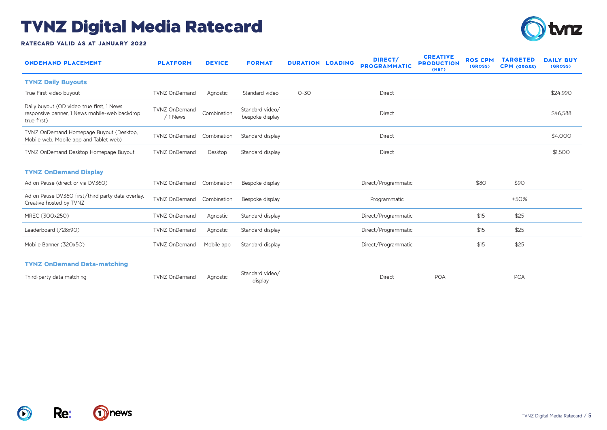

**RATECARD VALID AS AT JANUARY 2022**

| <b>ONDEMAND PLACEMENT</b>                                                                                 | <b>PLATFORM</b>                  | <b>DEVICE</b> | <b>FORMAT</b>                      | <b>DURATION LOADING</b> | <b>DIRECT/</b><br><b>PROGRAMMATIC</b> | <b>CREATIVE</b><br><b>PRODUCTION</b><br>(NET) | <b>ROS CPM</b><br>(GROSS) | <b>TARGETED</b><br><b>CPM (GROSS)</b> | <b>DAILY BUY</b><br>(GROSS) |
|-----------------------------------------------------------------------------------------------------------|----------------------------------|---------------|------------------------------------|-------------------------|---------------------------------------|-----------------------------------------------|---------------------------|---------------------------------------|-----------------------------|
| <b>TVNZ Daily Buyouts</b>                                                                                 |                                  |               |                                    |                         |                                       |                                               |                           |                                       |                             |
| True First video buyout                                                                                   | <b>TVNZ OnDemand</b>             | Agnostic      | Standard video                     | $O-3O$                  | Direct                                |                                               |                           |                                       | \$24,990                    |
| Daily buyout (OD video true first, 1 News<br>responsive banner, 1 News mobile-web backdrop<br>true first) | <b>TVNZ OnDemand</b><br>/ 1 News | Combination   | Standard video/<br>bespoke display |                         | Direct                                |                                               |                           |                                       | \$46,588                    |
| TVNZ OnDemand Homepage Buyout (Desktop,<br>Mobile web, Mobile app and Tablet web)                         | <b>TVNZ OnDemand</b>             | Combination   | Standard display                   |                         | Direct                                |                                               |                           |                                       | \$4,000                     |
| TVNZ OnDemand Desktop Homepage Buyout                                                                     | <b>TVNZ OnDemand</b>             | Desktop       | Standard display                   |                         | Direct                                |                                               |                           |                                       | \$1,500                     |
| <b>TVNZ OnDemand Display</b>                                                                              |                                  |               |                                    |                         |                                       |                                               |                           |                                       |                             |
| Ad on Pause (direct or via DV36O)                                                                         | TVNZ OnDemand Combination        |               | Bespoke display                    |                         | Direct/Programmatic                   |                                               | \$80                      | \$90                                  |                             |
| Ad on Pause DV360 first/third party data overlay.<br>Creative hosted by TVNZ                              | <b>TVNZ OnDemand</b>             | Combination   | Bespoke display                    |                         | Programmatic                          |                                               |                           | $+50%$                                |                             |
| MREC (300x250)                                                                                            | <b>TVNZ OnDemand</b>             | Agnostic      | Standard display                   |                         | Direct/Programmatic                   |                                               | \$15                      | \$25                                  |                             |
| Leaderboard (728x90)                                                                                      | <b>TVNZ OnDemand</b>             | Agnostic      | Standard display                   |                         | Direct/Programmatic                   |                                               | \$15                      | \$25                                  |                             |
| Mobile Banner (320x50)                                                                                    | <b>TVNZ OnDemand</b>             | Mobile app    | Standard display                   |                         | Direct/Programmatic                   |                                               | \$15                      | \$25                                  |                             |
| <b>TVNZ OnDemand Data-matching</b>                                                                        |                                  |               |                                    |                         |                                       |                                               |                           |                                       |                             |
| Third-party data matching                                                                                 | <b>TVNZ OnDemand</b>             | Agnostic      | Standard video/<br>display         |                         | Direct                                | <b>POA</b>                                    |                           | POA                                   |                             |

 $\bigcirc$ 

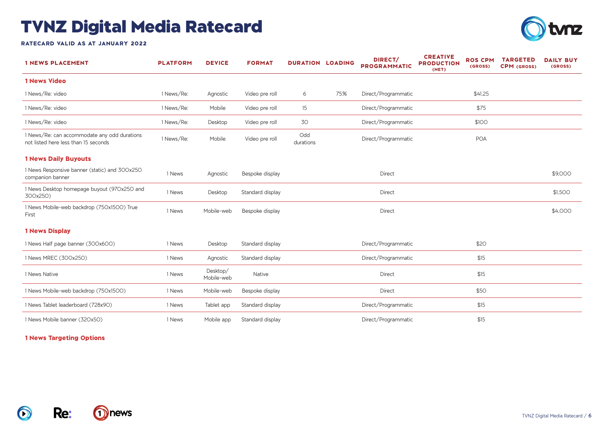

**RATECARD VALID AS AT JANUARY 2022**

| <b>1 NEWS PLACEMENT</b>                                                              | <b>PLATFORM</b> | <b>DEVICE</b>          | <b>FORMAT</b>    | <b>DURATION LOADING</b> |     | DIRECT/<br><b>PROGRAMMATIC</b> | <b>CREATIVE</b><br><b>PRODUCTION</b><br>(NET) | <b>ROS CPM</b><br>(GROSS) | <b>TARGETED</b><br><b>CPM</b> (GROSS) | <b>DAILY BUY</b><br>(GROSS) |
|--------------------------------------------------------------------------------------|-----------------|------------------------|------------------|-------------------------|-----|--------------------------------|-----------------------------------------------|---------------------------|---------------------------------------|-----------------------------|
| <b>1 News Video</b>                                                                  |                 |                        |                  |                         |     |                                |                                               |                           |                                       |                             |
| 1 News/Re: video                                                                     | 1 News/Re:      | Agnostic               | Video pre roll   | 6                       | 75% | Direct/Programmatic            |                                               | \$41.25                   |                                       |                             |
| 1 News/Re: video                                                                     | 1 News/Re:      | Mobile                 | Video pre roll   | 15                      |     | Direct/Programmatic            |                                               | \$75                      |                                       |                             |
| 1 News/Re: video                                                                     | 1 News/Re:      | Desktop                | Video pre roll   | 30                      |     | Direct/Programmatic            |                                               | \$100                     |                                       |                             |
| 1 News/Re: can accommodate any odd durations<br>not listed here less than 15 seconds | 1 News/Re:      | Mobile                 | Video pre roll   | Odd<br>durations        |     | Direct/Programmatic            |                                               | <b>POA</b>                |                                       |                             |
| <b>1 News Daily Buyouts</b>                                                          |                 |                        |                  |                         |     |                                |                                               |                           |                                       |                             |
| 1 News Responsive banner (static) and 300x250<br>companion banner                    | 1 News          | Agnostic               | Bespoke display  |                         |     | Direct                         |                                               |                           |                                       | \$9,000                     |
| 1 News Desktop homepage buyout (970x250 and<br>300x250)                              | 1 News          | Desktop                | Standard display |                         |     | Direct                         |                                               |                           |                                       | \$1,500                     |
| 1 News Mobile-web backdrop (750x1500) True<br>First                                  | 1 News          | Mobile-web             | Bespoke display  |                         |     | Direct                         |                                               |                           |                                       | \$4,000                     |
| <b>1 News Display</b>                                                                |                 |                        |                  |                         |     |                                |                                               |                           |                                       |                             |
| 1 News Half page banner (300x600)                                                    | 1 News          | Desktop                | Standard display |                         |     | Direct/Programmatic            |                                               | \$20                      |                                       |                             |
| 1 News MREC (300x250)                                                                | 1 News          | Agnostic               | Standard display |                         |     | Direct/Programmatic            |                                               | \$15                      |                                       |                             |
| 1 News Native                                                                        | 1 News          | Desktop/<br>Mobile-web | <b>Native</b>    |                         |     | Direct                         |                                               | \$15                      |                                       |                             |
| 1 News Mobile-web backdrop (750x1500)                                                | 1 News          | Mobile-web             | Bespoke display  |                         |     | Direct                         |                                               | \$50                      |                                       |                             |
| 1 News Tablet leaderboard (728x90)                                                   | 1 News          | Tablet app             | Standard display |                         |     | Direct/Programmatic            |                                               | \$15                      |                                       |                             |
| 1 News Mobile banner (320x50)                                                        | 1 News          | Mobile app             | Standard display |                         |     | Direct/Programmatic            |                                               | \$15                      |                                       |                             |

#### **1 News Targeting Options**

**Re:**